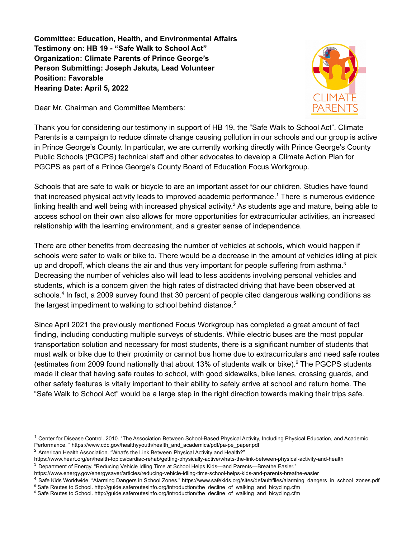**Committee: Education, Health, and Environmental Affairs Testimony on: HB 19 - "Safe Walk to School Act" Organization: Climate Parents of Prince George's Person Submitting: Joseph Jakuta, Lead Volunteer Position: Favorable Hearing Date: April 5, 2022**

Dear Mr. Chairman and Committee Members:



Thank you for considering our testimony in support of HB 19, the "Safe Walk to School Act". Climate Parents is a campaign to reduce climate change causing pollution in our schools and our group is active in Prince George's County. In particular, we are currently working directly with Prince George's County Public Schools (PGCPS) technical staff and other advocates to develop a Climate Action Plan for PGCPS as part of a Prince George's County Board of Education Focus Workgroup.

Schools that are safe to walk or bicycle to are an important asset for our children. Studies have found that increased physical activity leads to improved academic performance. <sup>1</sup> There is numerous evidence linking health and well being with increased physical activity.<sup>2</sup> As students age and mature, being able to access school on their own also allows for more opportunities for extracurricular activities, an increased relationship with the learning environment, and a greater sense of independence.

There are other benefits from decreasing the number of vehicles at schools, which would happen if schools were safer to walk or bike to. There would be a decrease in the amount of vehicles idling at pick up and dropoff, which cleans the air and thus very important for people suffering from asthma.<sup>3</sup> Decreasing the number of vehicles also will lead to less accidents involving personal vehicles and students, which is a concern given the high rates of distracted driving that have been observed at schools.<sup>4</sup> In fact, a 2009 survey found that 30 percent of people cited dangerous walking conditions as the largest impediment to walking to school behind distance. 5

Since April 2021 the previously mentioned Focus Workgroup has completed a great amount of fact finding, including conducting multiple surveys of students. While electric buses are the most popular transportation solution and necessary for most students, there is a significant number of students that must walk or bike due to their proximity or cannot bus home due to extracurriculars and need safe routes (estimates from 2009 found nationally that about 13% of students walk or bike). <sup>6</sup> The PGCPS students made it clear that having safe routes to school, with good sidewalks, bike lanes, crossing guards, and other safety features is vitally important to their ability to safely arrive at school and return home. The "Safe Walk to School Act" would be a large step in the right direction towards making their trips safe.

<sup>&</sup>lt;sup>1</sup> Center for Disease Control. 2010. "The Association Between School-Based Physical Activity, Including Physical Education, and Academic Performance. " https://www.cdc.gov/healthyyouth/health\_and\_academics/pdf/pa-pe\_paper.pdf

<sup>&</sup>lt;sup>2</sup> American Health Association. "What's the Link Between Physical Activity and Health?"

https://www.heart.org/en/health-topics/cardiac-rehab/getting-physically-active/whats-the-link-between-physical-activity-and-health

<sup>3</sup> Department of Energy. "Reducing Vehicle Idling Time at School Helps Kids—and Parents—Breathe Easier."

https://www.energy.gov/energysaver/articles/reducing-vehicle-idling-time-school-helps-kids-and-parents-breathe-easier

<sup>&</sup>lt;sup>4</sup> Safe Kids Worldwide. "Alarming Dangers in School Zones." https://www.safekids.org/sites/default/files/alarming\_dangers\_in\_school\_zones.pdf

<sup>&</sup>lt;sup>5</sup> Safe Routes to School. http://guide.saferoutesinfo.org/introduction/the\_decline\_of\_walking\_and\_bicycling.cfm

<sup>&</sup>lt;sup>6</sup> Safe Routes to School. http://guide.saferoutesinfo.org/introduction/the\_decline\_of\_walking\_and\_bicycling.cfm